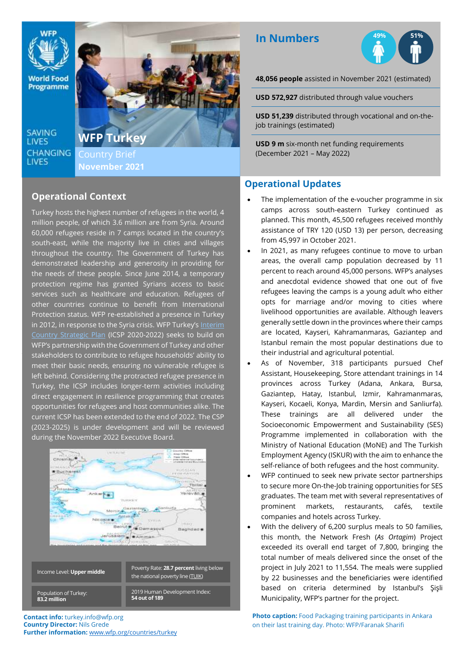

**World Food** Programme

**SAVING LIVES CHANGING** LIVES

;



**November 2021**

#### **Operational Context**

Turkey hosts the highest number of refugees in the world, 4 million people, of which 3.6 million are from Syria. Around 60,000 refugees reside in 7 camps located in the country's south-east, while the majority live in cities and villages throughout the country. The Government of Turkey has demonstrated leadership and generosity in providing for the needs of these people. Since June 2014, a temporary protection regime has granted Syrians access to basic services such as healthcare and education. Refugees of other countries continue to benefit from International Protection status. WFP re-established a presence in Turkey in 2012, in response to the Syria crisis. WFP Turkey's Interim [Country Strategic Plan](https://docs.wfp.org/api/documents/WFP-0000108573/download/) (ICSP 2020-2022) seeks to build on WFP's partnership with the Government of Turkey and other stakeholders to contribute to refugee households' ability to meet their basic needs, ensuring no vulnerable refugee is left behind. Considering the protracted refugee presence in Turkey, the ICSP includes longer-term activities including direct engagement in resilience programming that creates opportunities for refugees and host communities alike. The current ICSP has been extended to the end of 2022. The CSP (2023-2025) is under development and will be reviewed during the November 2022 Executive Board.



**Contact info:** turkey.info@wfp.org **Country Director:** Nils Grede **Further information:** [www.wfp.org/countries/turkey](http://www.wfp.org/countries/turkey)

# **In Numbers**



**48,056 people** assisted in November 2021 (estimated)

**USD 572,927** distributed through value vouchers

**USD 51,239** distributed through vocational and on-thejob trainings (estimated)

**USD 9 m** six-month net funding requirements (December 2021 – May 2022)

## **Operational Updates**

- The implementation of the e-voucher programme in six camps across south-eastern Turkey continued as planned. This month, 45,500 refugees received monthly assistance of TRY 120 (USD 13) per person, decreasing from 45,997 in October 2021.
- In 2021, as many refugees continue to move to urban areas, the overall camp population decreased by 11 percent to reach around 45,000 persons. WFP's analyses and anecdotal evidence showed that one out of five refugees leaving the camps is a young adult who either opts for marriage and/or moving to cities where livelihood opportunities are available. Although leavers generally settle down in the provinces where their camps are located, Kayseri, Kahramanmaras, Gaziantep and Istanbul remain the most popular destinations due to their industrial and agricultural potential.
- As of November, 318 participants pursued Chef Assistant, Housekeeping, Store attendant trainings in 14 provinces across Turkey (Adana, Ankara, Bursa, Gaziantep, Hatay, Istanbul, Izmir, Kahramanmaras, Kayseri, Kocaeli, Konya, Mardin, Mersin and Sanliurfa). These trainings are all delivered under the Socioeconomic Empowerment and Sustainability (SES) Programme implemented in collaboration with the Ministry of National Education (MoNE) and The Turkish Employment Agency (ISKUR) with the aim to enhance the self-reliance of both refugees and the host community.
- WFP continued to seek new private sector partnerships to secure more On-the-Job training opportunities for SES graduates. The team met with several representatives of prominent markets, restaurants, cafés, textile companies and hotels across Turkey.
- With the delivery of 6,200 surplus meals to 50 families, this month, the Network Fresh (*As Ortagim*) Project exceeded its overall end target of 7,800, bringing the total number of meals delivered since the onset of the project in July 2021 to 11,554. The meals were supplied by 22 businesses and the beneficiaries were identified based on criteria determined by Istanbul's Şişli Municipality, WFP's partner for the project.

**Photo caption:** Food Packaging training participants in Ankara on their last training day. Photo: WFP/Faranak Sharifi